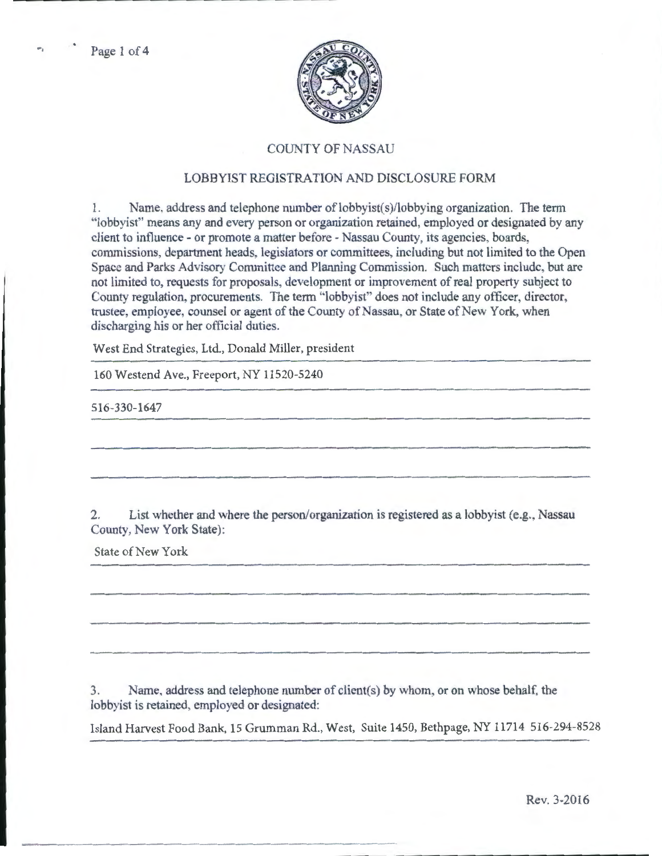

## COUNTY OF NASSAU

## LOBBYIST REGISTRATION AND DISCLOSURE FORM

1. Name, address and telephone number of lobbyist(s)/lobbying organization. The term ·'lobbyist" means any and every person or organization retained, employed or designated by any client to influence- or promote a matter before- Nassau County, its agencies, boards, commissions, department heads, legislators or committees, including but not limited to the Open Space and Parks Advisory Committee and Planning Commission. Such matters include, but arc not limited to, requests for proposals, development or improvement of real property subject to County regulation, procurements. The term "lobbyist" does not include any officer, director, trustee, employee, counsel or agent of the County of Nassau, or State of New York, when discharging his or her official duties.

West End Strategies, Ltd., Donald Miller, president

160 Westend Ave., Freeport, NY 11520-5240

516-330-1647

2. List whether and where the person/organization is registered as a lobbyist (e.g., Nassau County, New York State):

State of New York

3. Name, address and telephone number of client(s) by whom, or on whose behalf, the lobbyist is retained, employed or designated:

Island Harvest Food Bank, 15 Grumman Rd., West, Suite 1450, Bethpage, NY 11714 516-294-8528

Rev. 3-2016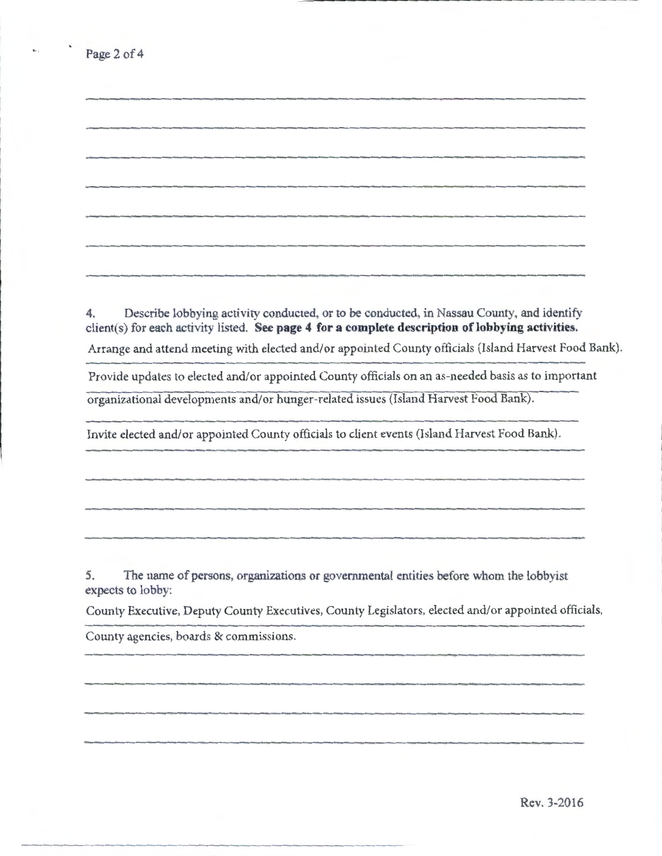4. Describe lobbying activity conducted, or to be conducted, in Nassau County, and identify client(s) for each activity listed. **See page 4 for a complete description of lobbying activities.**  Arrange and attend meeting with elected and/or appointed County officials (Island Harvest Food Bank).

Provide updates to elected and/or appointed County officials on an as-needed basis as to important organizational developments and/or hunger-related issues (Island Harvest Food Bank).

Invite elected and/or appointed County officials to client events (Island Harvest Food Bank).

5. The name of persons, organizations or governmental entities before whom the lobbyist expects to lobby:

County Executive, Deputy County Executives, County Legislators, elected and/or appointed officials,

County agencies, boards & commissions.

-----------

......

Rev. 3-2016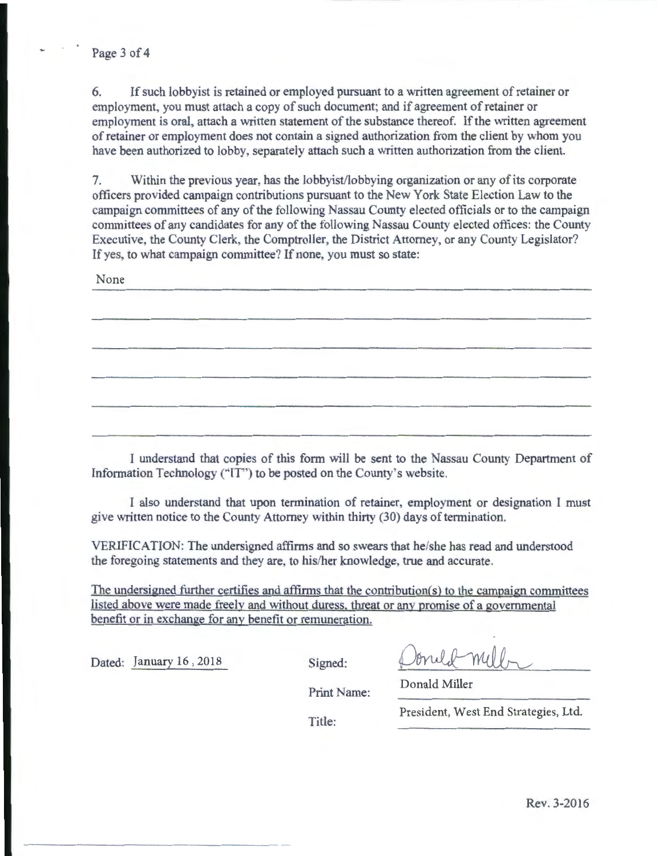6. If such lobbyist is retained or employed pursuant to a written agreement of retainer or employment, you must attach a copy of such document; and if agreement of retainer or employment is oral, attach a written statement of the substance thereof. If the written agreement of retainer or employment does not contain a signed authorization from the client by whom you have been authorized to lobby. separately attach such a written authorization from the client.

7. Within the previous year, has the lobbyist/lobbying organization or any of its corporate officers provided campaign contributions pursuant to the New York State Election Law to the campaign committees of any of the following Nassau County elected officials or to the campaign committees of any candidates for any of the following Nassau County elected otlices: the County Executive, the County Clerk, the Comptroller, the District Attorney, or any County Legislator? If yes, to what campaign committee? If none, you must so state:

None

I understand that copies of this form will be sent to the Nassau County Department of Information Technology ("IT") to be posted on the County's website.

I also tmderstand that upon termination of retainer, employment or designation I must give written notice to the County Attorney within thirty (30) days of termination.

VERIFICATION: The undersigned affirms and so swears that he/she has read and understood the foregoing statements and they are, to his/her knowledge, true and accurate.

The undersigned further certifies and affirms that the contribution(s) to the campaign committees listed above were made freelv and without duress. threat or any promise of a governmental benefit or in exchange for any benefit or remuneration.

Dated: January 16, 2018 Signed:

oneld mill,

Donald Miller

Print Name:

Title:

President, West End Strategies, Ltd.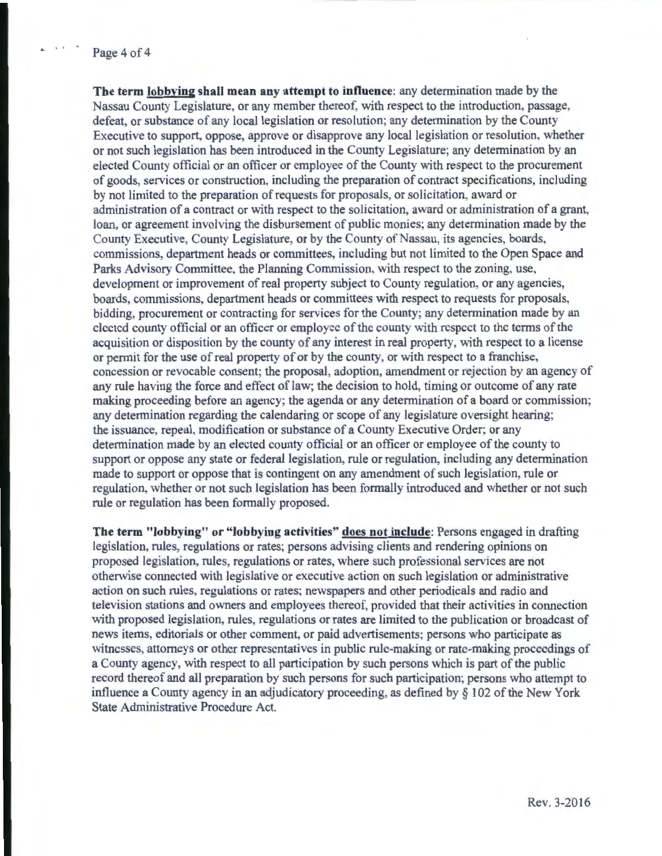## Page 4 of 4

**The term lobbving shall mean any attempt to influence:** any determination made by the Nassau County Legislature, or any member thereof, with respect to the introduction, passage, defeat, or substance of any local legislation or resolution; any detemunation by the County Executive to support, oppose, approve or disapprove any local legislation or resolution, whether or not such legislation has been introduced in the County Legislature; any determination by an elected County official or an officer or employee of the County with respect to the procurement of goods, services or construction, including the preparation of contract specifications, including by not limited to the preparation of requests for proposals, or solicitation, award or administration of a contract or with respect to the solicitation, award or administration of a grant, loan, or agreement involving the disbursement of public monies; any determination made by the County Executive, County Legislature, or by the County of Nassau, its agencies, boards, commissions department heads or committees, including but not limited to the Open Space and Parks Advisory Committee, the Planning Commission, with respect to the zoning, use, development or improvement of real property subject to County regulation, or any agencies, boards, commissions, department heads or committees with respect to requests for proposals, bidding, procurement or contracting for services for the County; any determination made by an elected county official or an officer or employee of the county with respect to the terms of the acquisition or disposition by the county of any interest in real property, with respect to a license or permit for the use of real property of or by the county, or with respect to a franchise, concession or revocable consent; the proposal, adoption, amendment or rejection by an agency of any rule having the force and effect of law; the decision to hold, timing or outcome of any rate making proceeding before an agency; the agenda or any determination of a board or commission; any determination regarding the calendaring or scope of any legislature oversight hearing; the issuance, repeal, modification or substance of a County Executive Order; or any determination made by an elected county official or an officer or employee of the county to support or oppose any state or federal legislation, rule or regulation, including any determination made to support or oppose that is contingent on any amendment of such legislation, rule or regulation, whether or not such legislation has been formally introduced and whether or not such rule or regulation has been formally proposed.

**The term "lobbying" or "lobbying activities" does not include:** Persons engaged in drafting legislation, rules, regulations or rates; persons advising clients and rendering opinions on proposed legislation, rules, regulations or rates, where such professional services are not otherwise connected with legislative or executive action on such legislation or administrative action on such rules, regulations or rates; newspapers and other periodicals and radio and television stations and owners and employees thereof, provided that their activities in connection with proposed legislation, rules, regulations or rates are limited to the publication or broadcast of news items, editorials or other comment, or paid advertisements; persons who participate as witnesses. attomeys or other representatives in public rule-making or rate-making proceedings of a County agency, with respect to all participation by such persons which is part of the public record thereof and all preparation by such persons for such participation; persons who attempt to influence a County agency in an adjudicatory proceeding, as defined by§ 102 of the New York State Administrative Procedure Act.